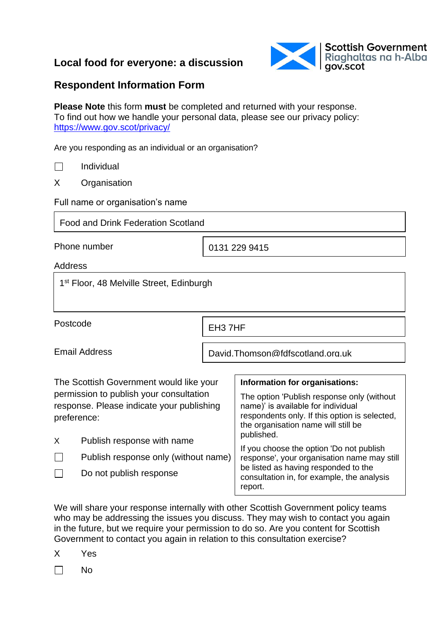# **Local food for everyone: a discussion**



## **Respondent Information Form**

**Please Note** this form **must** be completed and returned with your response. To find out how we handle your personal data, please see our privacy policy: <https://www.gov.scot/privacy/>

Are you responding as an individual or an organisation?

 $\Box$ Individual

X Organisation

Full name or organisation's name

Food and Drink Federation Scotland

Phone number

0131 229 9415

Address

1<sup>st</sup> Floor, 48 Melville Street, Edinburgh

Postcode

EH3 7HF

Email Address

David.Thomson@fdfscotland.org.uk

| The Scottish Government would like your                                                             |                                      | Information for organisations:                                                                                                                                           |  |
|-----------------------------------------------------------------------------------------------------|--------------------------------------|--------------------------------------------------------------------------------------------------------------------------------------------------------------------------|--|
| permission to publish your consultation<br>response. Please indicate your publishing<br>preference: |                                      | The option 'Publish response only (without<br>name)' is available for individual<br>respondents only. If this option is selected,<br>the organisation name will still be |  |
| X                                                                                                   | Publish response with name           | published.                                                                                                                                                               |  |
|                                                                                                     | Publish response only (without name) | If you choose the option 'Do not publish<br>response', your organisation name may still                                                                                  |  |
|                                                                                                     | Do not publish response              | be listed as having responded to the<br>consultation in, for example, the analysis<br>report.                                                                            |  |

We will share your response internally with other Scottish Government policy teams who may be addressing the issues you discuss. They may wish to contact you again in the future, but we require your permission to do so. Are you content for Scottish Government to contact you again in relation to this consultation exercise?

X Yes

 $\Box$ No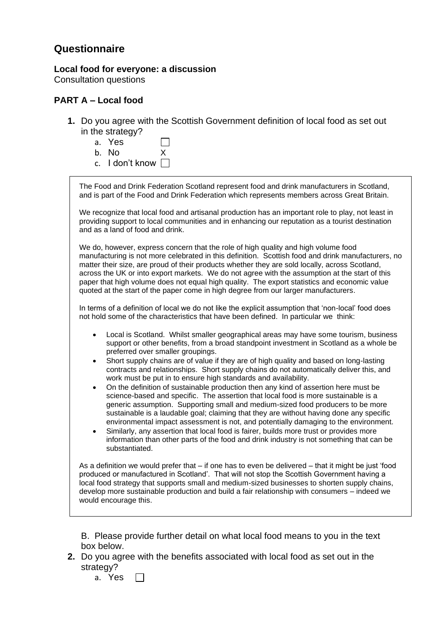### **Questionnaire**

**Local food for everyone: a discussion**  Consultation questions

#### **PART A – Local food**

- **1.** Do you agree with the Scottish Government definition of local food as set out in the strategy?
	- a. Yes  $\Box$
	- b. No X
	- c. I don't know  $\Box$

| The Food and Drink Federation Scotland represent food and drink manufacturers in Scotland,<br>and is part of the Food and Drink Federation which represents members across Great Britain.                                                                                                                                                                                                                                                                                                                                                                                                                                                                                                                                                                                                                                                                                                                                                                                                                                                                                                                                                                        |
|------------------------------------------------------------------------------------------------------------------------------------------------------------------------------------------------------------------------------------------------------------------------------------------------------------------------------------------------------------------------------------------------------------------------------------------------------------------------------------------------------------------------------------------------------------------------------------------------------------------------------------------------------------------------------------------------------------------------------------------------------------------------------------------------------------------------------------------------------------------------------------------------------------------------------------------------------------------------------------------------------------------------------------------------------------------------------------------------------------------------------------------------------------------|
| We recognize that local food and artisanal production has an important role to play, not least in<br>providing support to local communities and in enhancing our reputation as a tourist destination<br>and as a land of food and drink.                                                                                                                                                                                                                                                                                                                                                                                                                                                                                                                                                                                                                                                                                                                                                                                                                                                                                                                         |
| We do, however, express concern that the role of high quality and high volume food<br>manufacturing is not more celebrated in this definition. Scottish food and drink manufacturers, no<br>matter their size, are proud of their products whether they are sold locally, across Scotland,<br>across the UK or into export markets. We do not agree with the assumption at the start of this<br>paper that high volume does not equal high quality. The export statistics and economic value<br>quoted at the start of the paper come in high degree from our larger manufacturers.                                                                                                                                                                                                                                                                                                                                                                                                                                                                                                                                                                              |
| In terms of a definition of local we do not like the explicit assumption that 'non-local' food does<br>not hold some of the characteristics that have been defined. In particular we think:                                                                                                                                                                                                                                                                                                                                                                                                                                                                                                                                                                                                                                                                                                                                                                                                                                                                                                                                                                      |
| Local is Scotland. Whilst smaller geographical areas may have some tourism, business<br>$\bullet$<br>support or other benefits, from a broad standpoint investment in Scotland as a whole be<br>preferred over smaller groupings.<br>Short supply chains are of value if they are of high quality and based on long-lasting<br>contracts and relationships. Short supply chains do not automatically deliver this, and<br>work must be put in to ensure high standards and availability.<br>On the definition of sustainable production then any kind of assertion here must be<br>science-based and specific. The assertion that local food is more sustainable is a<br>generic assumption. Supporting small and medium-sized food producers to be more<br>sustainable is a laudable goal; claiming that they are without having done any specific<br>environmental impact assessment is not, and potentially damaging to the environment.<br>Similarly, any assertion that local food is fairer, builds more trust or provides more<br>$\bullet$<br>information than other parts of the food and drink industry is not something that can be<br>substantiated. |
| As a definition we would prefer that – if one has to even be delivered – that it might be just 'food<br>produced or manufactured in Scotland'. That will not stop the Scottish Government having a<br>local food strategy that supports small and medium-sized businesses to shorten supply chains,<br>develop more sustainable production and build a fair relationship with consumers - indeed we<br>would encourage this.                                                                                                                                                                                                                                                                                                                                                                                                                                                                                                                                                                                                                                                                                                                                     |

B. Please provide further detail on what local food means to you in the text box below.

**2.** Do you agree with the benefits associated with local food as set out in the strategy?

a. Yes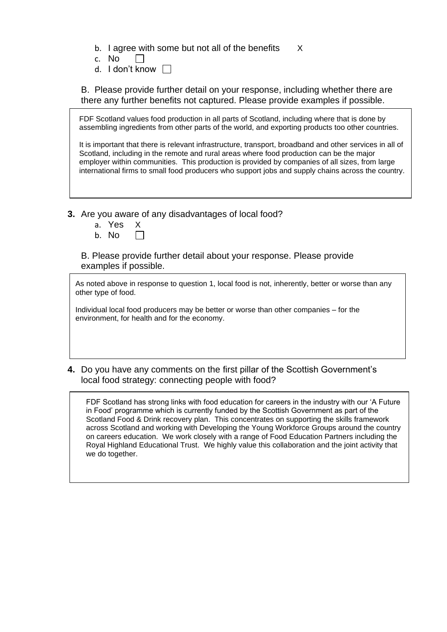b. I agree with some but not all of the benefits X

- c. No  $\perp$
- d. I don't know  $\Box$

B. Please provide further detail on your response, including whether there are there any further benefits not captured. Please provide examples if possible.

| FDF Scotland values food production in all parts of Scotland, including where that is done by<br>assembling ingredients from other parts of the world, and exporting products too other countries.                                                                                                                                                                                                           |
|--------------------------------------------------------------------------------------------------------------------------------------------------------------------------------------------------------------------------------------------------------------------------------------------------------------------------------------------------------------------------------------------------------------|
| It is important that there is relevant infrastructure, transport, broadband and other services in all of<br>Scotland, including in the remote and rural areas where food production can be the major<br>employer within communities. This production is provided by companies of all sizes, from large<br>international firms to small food producers who support jobs and supply chains across the country. |

- **3.** Are you aware of any disadvantages of local food?
	- a. Yes X
	- b. No

B. Please provide further detail about your response. Please provide examples if possible.

As noted above in response to question 1, local food is not, inherently, better or worse than any other type of food.

Individual local food producers may be better or worse than other companies – for the environment, for health and for the economy.

**4.** Do you have any comments on the first pillar of the Scottish Government's local food strategy: connecting people with food?

FDF Scotland has strong links with food education for careers in the industry with our 'A Future in Food' programme which is currently funded by the Scottish Government as part of the Scotland Food & Drink recovery plan. This concentrates on supporting the skills framework across Scotland and working with Developing the Young Workforce Groups around the country on careers education. We work closely with a range of Food Education Partners including the Royal Highland Educational Trust. We highly value this collaboration and the joint activity that we do together.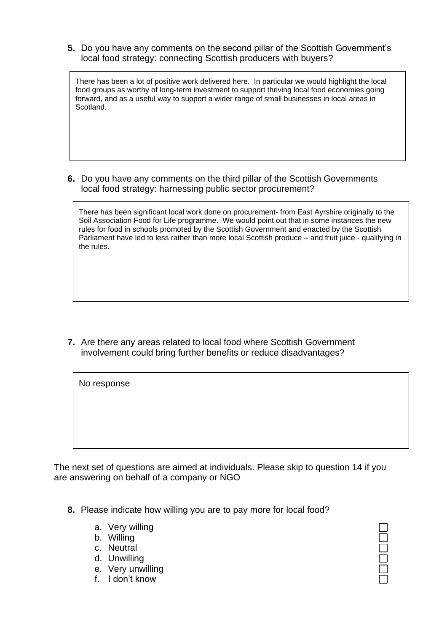**5.** Do you have any comments on the second pillar of the Scottish Government's local food strategy: connecting Scottish producers with buyers?

There has been a lot of positive work delivered here. In particular we would highlight the local food groups as worthy of long-term investment to support thriving local food economies going forward, and as a useful way to support a wider range of small businesses in local areas in Scotland.

**6.** Do you have any comments on the third pillar of the Scottish Governments local food strategy: harnessing public sector procurement?

There has been significant local work done on procurement- from East Ayrshire originally to the Soil Association Food for Life programme. We would point out that in some instances the new rules for food in schools promoted by the Scottish Government and enacted by the Scottish Parliament have led to less rather than more local Scottish produce – and fruit juice - qualifying in the rules.

**7.** Are there any areas related to local food where Scottish Government involvement could bring further benefits or reduce disadvantages?

The next set of questions are aimed at individuals. Please skip to question 14 if you are answering on behalf of a company or NGO

- **8.** Please indicate how willing you are to pay more for local food?
	- a. Very willing
	- b. Willing

No response

- c. Neutral
- d. Unwilling
- e. Very unwilling
- f. I don't know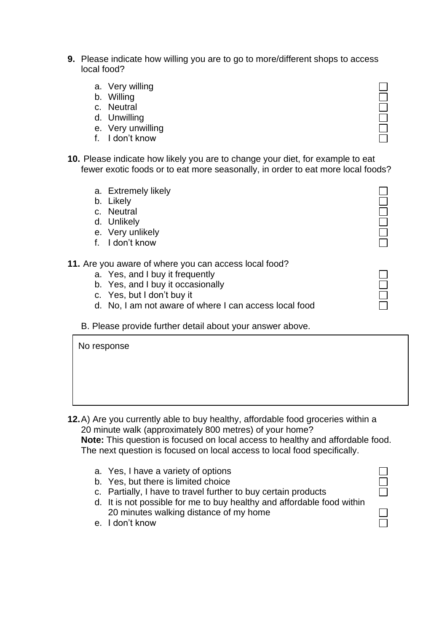- **9.** Please indicate how willing you are to go to more/different shops to access local food?
	- a. Very willing
	- b. Willing
	- c. Neutral
	- d. Unwilling
	- e. Very unwilling
	- f. I don't know
- **10.** Please indicate how likely you are to change your diet, for example to eat fewer exotic foods or to eat more seasonally, in order to eat more local foods?
	- a. Extremely likely
	- b. Likely
	- c. Neutral
	- d. Unlikely

No response

- e. Very unlikely
- f. I don't know
- **11.** Are you aware of where you can access local food?
	- a. Yes, and I buy it frequently
	- b. Yes, and I buy it occasionally
	- c. Yes, but I don't buy it
	- d. No, I am not aware of where I can access local food
	- B. Please provide further detail about your answer above.

**12.**A) Are you currently able to buy healthy, affordable food groceries within a 20 minute walk (approximately 800 metres) of your home?

**Note:** This question is focused on local access to healthy and affordable food. The next question is focused on local access to local food specifically.

- a. Yes, I have a variety of options
- b. Yes, but there is limited choice
- c. Partially, I have to travel further to buy certain products
- d. It is not possible for me to buy healthy and affordable food within 20 minutes walking distance of my home
- e. I don't know

LOODOI

 $\Box$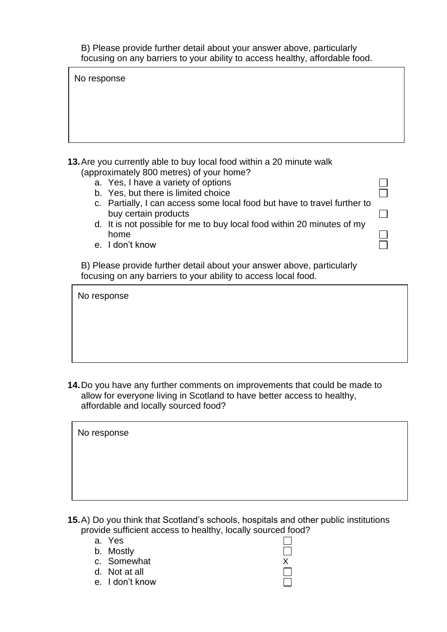B) Please provide further detail about your answer above, particularly focusing on any barriers to your ability to access healthy, affordable food.

No response

| 13. Are you currently able to buy local food within a 20 minute walk |
|----------------------------------------------------------------------|
| (approximately 800 metres) of your home?                             |

- a. Yes, I have a variety of options
- b. Yes, but there is limited choice
- c. Partially, I can access some local food but have to travel further to buy certain products

ñ

 $\Box$ 

 $\perp$ 

- d. It is not possible for me to buy local food within 20 minutes of my home
- e. I don't know

B) Please provide further detail about your answer above, particularly focusing on any barriers to your ability to access local food.

No response

**14.**Do you have any further comments on improvements that could be made to allow for everyone living in Scotland to have better access to healthy, affordable and locally sourced food?

| No response |  |  |  |
|-------------|--|--|--|
|             |  |  |  |
|             |  |  |  |
|             |  |  |  |

**15.**A) Do you think that Scotland's schools, hospitals and other public institutions provide sufficient access to healthy, locally sourced food?

> П  $\Box$

- a. Yes
- b. Mostly
- c. Somewhat X
- d. Not at all
- e. I don't know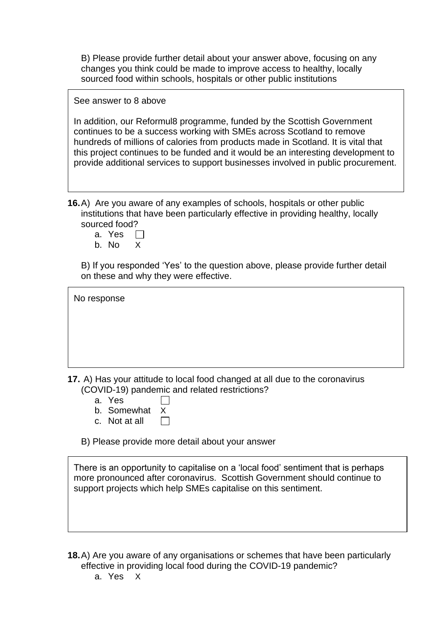B) Please provide further detail about your answer above, focusing on any changes you think could be made to improve access to healthy, locally sourced food within schools, hospitals or other public institutions

See answer to 8 above

In addition, our Reformul8 programme, funded by the Scottish Government continues to be a success working with SMEs across Scotland to remove hundreds of millions of calories from products made in Scotland. It is vital that this project continues to be funded and it would be an interesting development to provide additional services to support businesses involved in public procurement.

**16.**A) Are you aware of any examples of schools, hospitals or other public institutions that have been particularly effective in providing healthy, locally sourced food?

- a. Yes  $\Box$
- b. No X

B) If you responded 'Yes' to the question above, please provide further detail on these and why they were effective.

No response

**17.** A) Has your attitude to local food changed at all due to the coronavirus (COVID-19) pandemic and related restrictions?

- a. Yes
- b. Somewhat X
- c. Not at all  $\Box$

B) Please provide more detail about your answer

There is an opportunity to capitalise on a 'local food' sentiment that is perhaps more pronounced after coronavirus. Scottish Government should continue to support projects which help SMEs capitalise on this sentiment.

**18.**A) Are you aware of any organisations or schemes that have been particularly effective in providing local food during the COVID-19 pandemic?

a. Yes X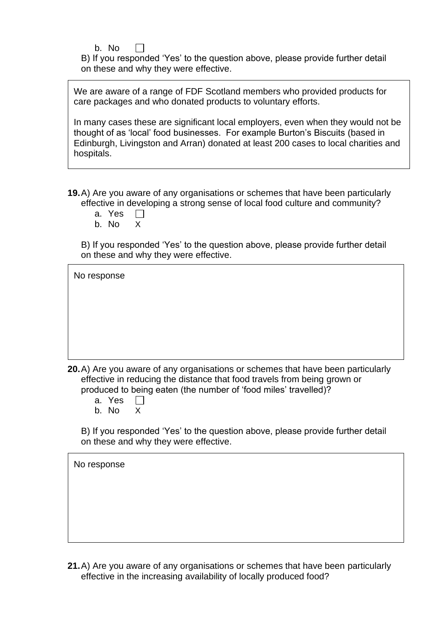b. No

B) If you responded 'Yes' to the question above, please provide further detail on these and why they were effective.

We are aware of a range of FDF Scotland members who provided products for care packages and who donated products to voluntary efforts.

In many cases these are significant local employers, even when they would not be thought of as 'local' food businesses. For example Burton's Biscuits (based in Edinburgh, Livingston and Arran) donated at least 200 cases to local charities and hospitals.

**19.**A) Are you aware of any organisations or schemes that have been particularly effective in developing a strong sense of local food culture and community?

- a. Yes  $\Box$
- b. No X

B) If you responded 'Yes' to the question above, please provide further detail on these and why they were effective.

| No response |  |
|-------------|--|
|             |  |
|             |  |
|             |  |

**20.**A) Are you aware of any organisations or schemes that have been particularly effective in reducing the distance that food travels from being grown or produced to being eaten (the number of 'food miles' travelled)?

- a. Yes  $\Box$
- b. No X

B) If you responded 'Yes' to the question above, please provide further detail on these and why they were effective.

No response

**21.**A) Are you aware of any organisations or schemes that have been particularly effective in the increasing availability of locally produced food?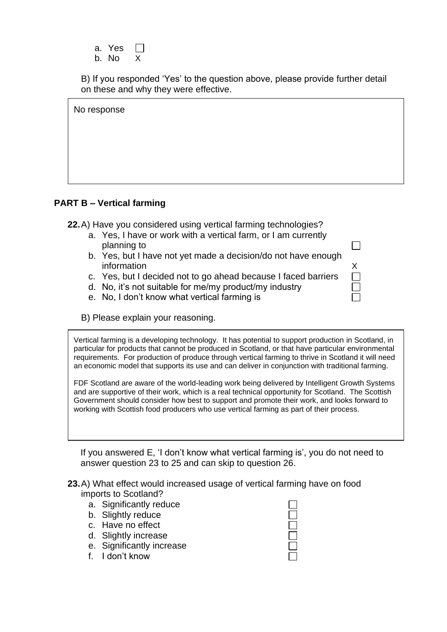| a. | Yes   |    |
|----|-------|----|
|    | b. No | X. |

B) If you responded 'Yes' to the question above, please provide further detail on these and why they were effective.

| No response |
|-------------|
|             |
|             |
|             |

 $\Box$ 

#### **PART B – Vertical farming**

**22.**A) Have you considered using vertical farming technologies?

- a. Yes, I have or work with a vertical farm, or I am currently planning to
- b. Yes, but I have not yet made a decision/do not have enough information X
- c. Yes, but I decided not to go ahead because I faced barriers
- d. No, it's not suitable for me/my product/my industry
- e. No, I don't know what vertical farming is
- B) Please explain your reasoning.

Vertical farming is a developing technology. It has potential to support production in Scotland, in particular for products that cannot be produced in Scotland, or that have particular environmental requirements. For production of produce through vertical farming to thrive in Scotland it will need an economic model that supports its use and can deliver in conjunction with traditional farming.

FDF Scotland are aware of the world-leading work being delivered by Intelligent Growth Systems and are supportive of their work, which is a real technical opportunity for Scotland. The Scottish Government should consider how best to support and promote their work, and looks forward to working with Scottish food producers who use vertical farming as part of their process.

If you answered E, 'I don't know what vertical farming is', you do not need to answer question 23 to 25 and can skip to question 26.

- **23.**A) What effect would increased usage of vertical farming have on food imports to Scotland?
	- a. Significantly reduce
	- b. Slightly reduce
	- c. Have no effect
	- d. Slightly increase
	- e. Significantly increase
	- f. I don't know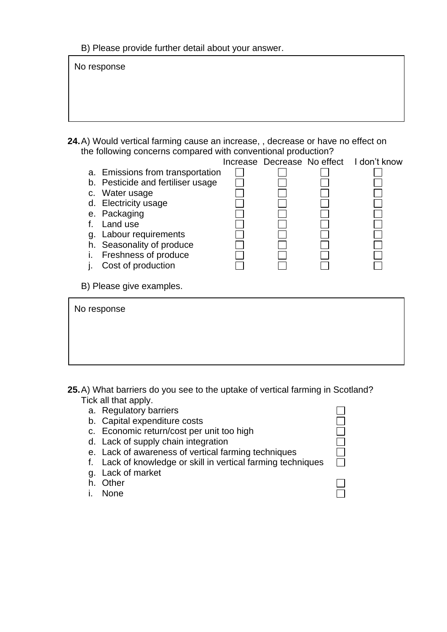B) Please provide further detail about your answer.

**24.**A) Would vertical farming cause an increase, , decrease or have no effect on the following concerns compared with conventional production? No response

|                          |                                   |  | Increase Decrease No effect |  | I don't know |
|--------------------------|-----------------------------------|--|-----------------------------|--|--------------|
|                          | a. Emissions from transportation  |  |                             |  |              |
|                          | b. Pesticide and fertiliser usage |  |                             |  |              |
| C.                       | Water usage                       |  |                             |  |              |
| d.                       | <b>Electricity usage</b>          |  |                             |  |              |
|                          | e. Packaging                      |  |                             |  |              |
|                          | Land use                          |  |                             |  |              |
| g.                       | Labour requirements               |  |                             |  |              |
| h.                       | Seasonality of produce            |  |                             |  |              |
|                          | Freshness of produce              |  |                             |  |              |
|                          | Cost of production                |  |                             |  |              |
| ı.                       |                                   |  |                             |  |              |
| B) Please give examples. |                                   |  |                             |  |              |
|                          |                                   |  |                             |  |              |
| No response              |                                   |  |                             |  |              |
|                          |                                   |  |                             |  |              |
|                          |                                   |  |                             |  |              |
|                          |                                   |  |                             |  |              |
|                          |                                   |  |                             |  |              |
|                          |                                   |  |                             |  |              |
|                          |                                   |  |                             |  |              |

**25.**A) What barriers do you see to the uptake of vertical farming in Scotland? Tick all that apply.

- a. Regulatory barriers
- b. Capital expenditure costs
- c. Economic return/cost per unit too high
- d. Lack of supply chain integration
- e. Lack of awareness of vertical farming techniques
- f. Lack of knowledge or skill in vertical farming techniques
- g. Lack of market
- h. Other
- i. None

 $\Box$